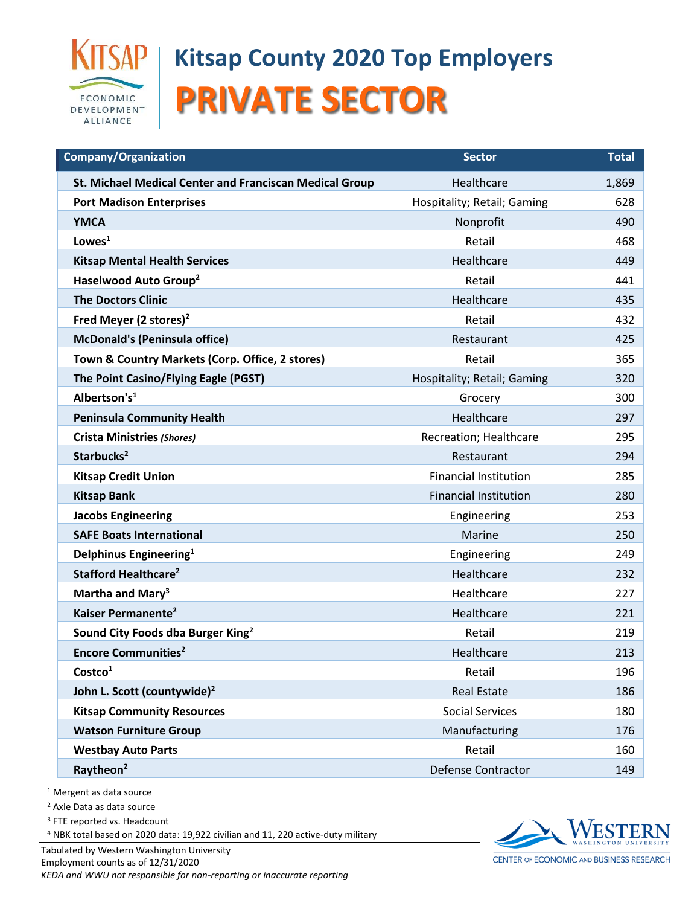

## **Kitsap County 2020 Top Employers PRIVATE SECTOR**

| <b>Company/Organization</b>                             | <b>Sector</b>                | <b>Total</b> |
|---------------------------------------------------------|------------------------------|--------------|
| St. Michael Medical Center and Franciscan Medical Group | Healthcare                   | 1,869        |
| <b>Port Madison Enterprises</b>                         | Hospitality; Retail; Gaming  | 628          |
| <b>YMCA</b>                                             | Nonprofit                    | 490          |
| Lowes <sup>1</sup>                                      | Retail                       | 468          |
| <b>Kitsap Mental Health Services</b>                    | Healthcare                   | 449          |
| Haselwood Auto Group <sup>2</sup>                       | Retail                       | 441          |
| <b>The Doctors Clinic</b>                               | Healthcare                   | 435          |
| Fred Meyer (2 stores) <sup>2</sup>                      | Retail                       | 432          |
| <b>McDonald's (Peninsula office)</b>                    | Restaurant                   | 425          |
| Town & Country Markets (Corp. Office, 2 stores)         | Retail                       | 365          |
| The Point Casino/Flying Eagle (PGST)                    | Hospitality; Retail; Gaming  | 320          |
| Albertson's <sup>1</sup>                                | Grocery                      | 300          |
| <b>Peninsula Community Health</b>                       | Healthcare                   | 297          |
| <b>Crista Ministries (Shores)</b>                       | Recreation; Healthcare       | 295          |
| Starbucks <sup>2</sup>                                  | Restaurant                   | 294          |
| <b>Kitsap Credit Union</b>                              | <b>Financial Institution</b> | 285          |
| <b>Kitsap Bank</b>                                      | <b>Financial Institution</b> | 280          |
| <b>Jacobs Engineering</b>                               | Engineering                  | 253          |
| <b>SAFE Boats International</b>                         | Marine                       | 250          |
| Delphinus Engineering <sup>1</sup>                      | Engineering                  | 249          |
| Stafford Healthcare <sup>2</sup>                        | Healthcare                   | 232          |
| Martha and Mary <sup>3</sup>                            | Healthcare                   | 227          |
| Kaiser Permanente <sup>2</sup>                          | Healthcare                   | 221          |
| Sound City Foods dba Burger King <sup>2</sup>           | Retail                       | 219          |
| <b>Encore Communities<sup>2</sup></b>                   | Healthcare                   | 213          |
| Costco <sup>1</sup>                                     | Retail                       | 196          |
| John L. Scott (countywide) <sup>2</sup>                 | <b>Real Estate</b>           | 186          |
| <b>Kitsap Community Resources</b>                       | <b>Social Services</b>       | 180          |
| <b>Watson Furniture Group</b>                           | Manufacturing                | 176          |
| <b>Westbay Auto Parts</b>                               | Retail                       | 160          |
| Raytheon <sup>2</sup>                                   | <b>Defense Contractor</b>    | 149          |

<sup>1</sup> Mergent as data source

<sup>2</sup> Axle Data as data source

<sup>3</sup> FTE reported vs. Headcount

<sup>4</sup> NBK total based on 2020 data: 19,922 civilian and 11, 220 active-duty military

Tabulated by Western Washington University Employment counts as of 12/31/2020 *KEDA and WWU not responsible for non-reporting or inaccurate reporting*



CENTER OF ECONOMIC AND BUSINESS RESEARCH